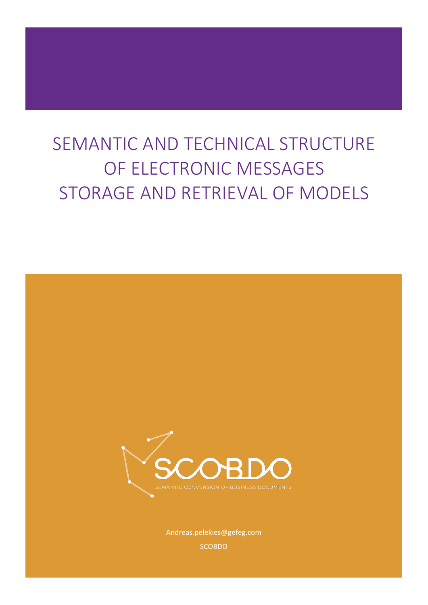# SEMANTIC AND TECHNICAL STRUCTURE OF ELECTRONIC MESSAGES STORAGE AND RETRIEVAL OF MODELS



Andreas.pelekies@gefeg.com **SCOBDO**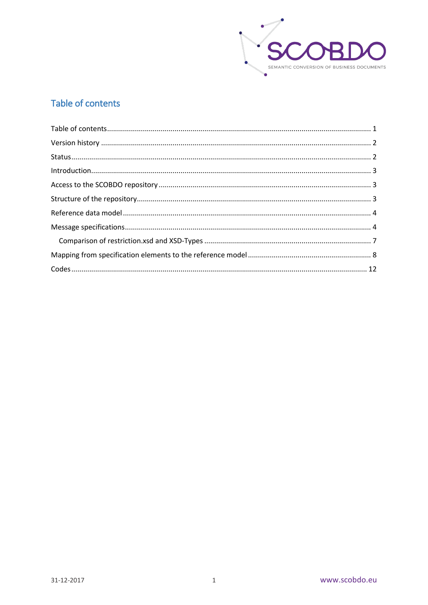

# <span id="page-1-0"></span>Table of contents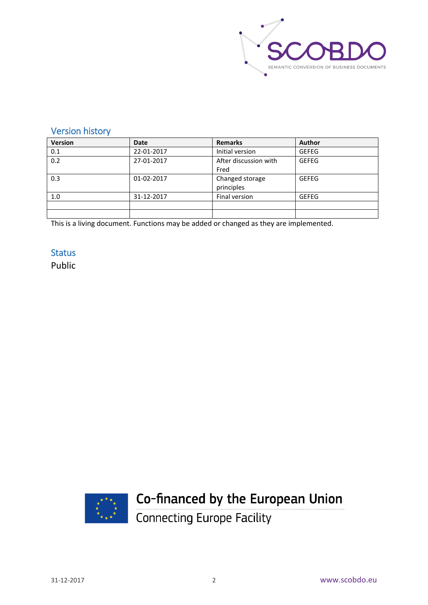

# <span id="page-2-0"></span>Version history

| <b>Version</b> | Date       | <b>Remarks</b>        | <b>Author</b> |
|----------------|------------|-----------------------|---------------|
| 0.1            | 22-01-2017 | Initial version       | <b>GEFEG</b>  |
| 0.2            | 27-01-2017 | After discussion with | <b>GEFEG</b>  |
|                |            | Fred                  |               |
| 0.3            | 01-02-2017 | Changed storage       | <b>GEFEG</b>  |
|                |            | principles            |               |
| 1.0            | 31-12-2017 | Final version         | <b>GEFEG</b>  |
|                |            |                       |               |
|                |            |                       |               |

This is a living document. Functions may be added or changed as they are implemented.

# <span id="page-2-1"></span>Status

Public



# Co-financed by the European Union

Connecting Europe Facility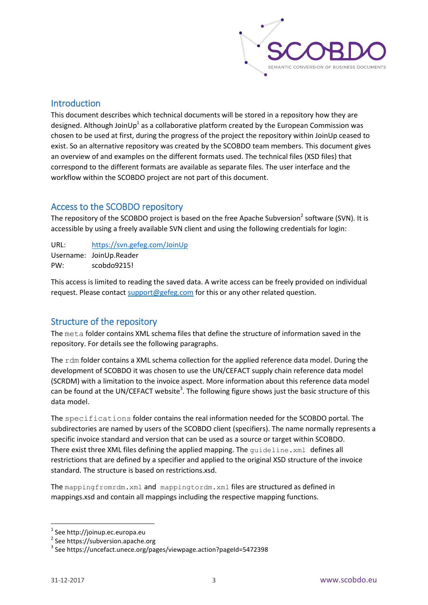

#### <span id="page-3-0"></span>**Introduction**

This document describes which technical documents will be stored in a repository how they are designed. Although JoinUp<sup>1</sup> as a collaborative platform created by the European Commission was chosen to be used at first, during the progress of the project the repository within JoinUp ceased to exist. So an alternative repository was created by the SCOBDO team members. This document gives an overview of and examples on the different formats used. The technical files (XSD files) that correspond to the different formats are available as separate files. The user interface and the workflow within the SCOBDO project are not part of this document.

### <span id="page-3-1"></span>Access to the SCOBDO repository

The repository of the SCOBDO project is based on the free Apache Subversion<sup>2</sup> software (SVN). It is accessible by using a freely available SVN client and using the following credentials for login:

URL: <https://svn.gefeg.com/JoinUp> Username: JoinUp.Reader PW: scobdo9215!

This access is limited to reading the saved data. A write access can be freely provided on individual request. Please contac[t support@gefeg.com](mailto:support@gefeg.com) for this or any other related question.

# <span id="page-3-2"></span>Structure of the repository

The meta folder contains XML schema files that define the structure of information saved in the repository. For details see the following paragraphs.

The rdm folder contains a XML schema collection for the applied reference data model. During the development of SCOBDO it was chosen to use the UN/CEFACT supply chain reference data model (SCRDM) with a limitation to the invoice aspect. More information about this reference data model can be found at the UN/CEFACT website<sup>3</sup>. The following figure shows just the basic structure of this data model.

The specifications folder contains the real information needed for the SCOBDO portal. The subdirectories are named by users of the SCOBDO client (specifiers). The name normally represents a specific invoice standard and version that can be used as a source or target within SCOBDO. There exist three XML files defining the applied mapping. The guideline. xml defines all restrictions that are defined by a specifier and applied to the original XSD structure of the invoice standard. The structure is based on restrictions.xsd.

The mappingfromrdm.xml and mappingtordm.xml files are structured as defined in mappings.xsd and contain all mappings including the respective mapping functions.

 $\overline{\phantom{a}}$ 

<sup>&</sup>lt;sup>1</sup> See http://joinup.ec.europa.eu

<sup>&</sup>lt;sup>2</sup> See https://subversion.apache.org

 $^3$  See https://uncefact.unece.org/pages/viewpage.action?pageId=5472398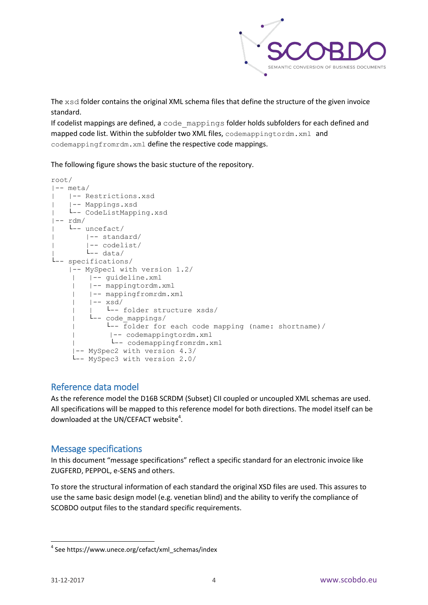

The xsd folder contains the original XML schema files that define the structure of the given invoice standard.

If codelist mappings are defined, a  $\csc$  mappings folder holds subfolders for each defined and mapped code list. Within the subfolder two XML files, codemappingtordm.xml and codemappingfromrdm.xml define the respective code mappings.

The following figure shows the basic stucture of the repository.

```
root/
|-- meta/
| |-- Restrictions.xsd
    | |-- Mappings.xsd
    L-- CodeListMapping.xsd
|-- rdm/L<sub>--</sub> uncefact/
        | |-- standard/
         | |-- codelist/
        L_{--} data/
└-- specifications/
     |-- MySpec1 with version 1.2/
     | |-- guideline.xml
     | |-- mappingtordm.xml
     | |-- mappingfromrdm.xml
     | |-- xsd/
             L-- folder structure xsds/
         L<sub>--</sub> code mappings/
              L_{--} \overline{f}older for each code mapping (name: shortname)/
              | |-- codemappingtordm.xml
              L-- codemappingfromrdm.xml
      |-- MySpec2 with version 4.3/
     └-- MySpec3 with version 2.0/
```
### <span id="page-4-0"></span>Reference data model

As the reference model the D16B SCRDM (Subset) CII coupled or uncoupled XML schemas are used. All specifications will be mapped to this reference model for both directions. The model itself can be downloaded at the UN/CEFACT website<sup>4</sup>.

### <span id="page-4-1"></span>Message specifications

In this document "message specifications" reflect a specific standard for an electronic invoice like ZUGFERD, PEPPOL, e-SENS and others.

To store the structural information of each standard the original XSD files are used. This assures to use the same basic design model (e.g. venetian blind) and the ability to verify the compliance of SCOBDO output files to the standard specific requirements.

 $\overline{\phantom{a}}$ 

<sup>4</sup> See https://www.unece.org/cefact/xml\_schemas/index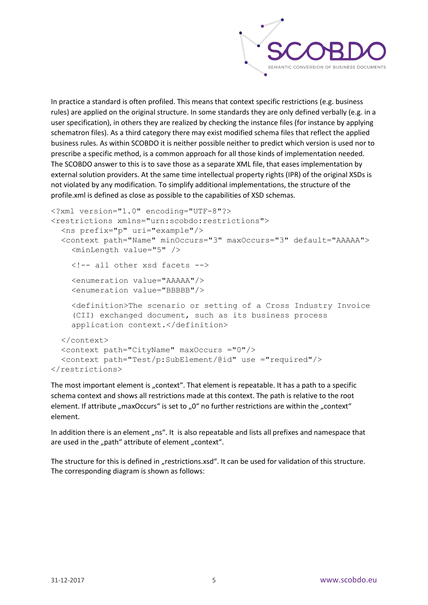

In practice a standard is often profiled. This means that context specific restrictions (e.g. business rules) are applied on the original structure. In some standards they are only defined verbally (e.g. in a user specification), in others they are realized by checking the instance files (for instance by applying schematron files). As a third category there may exist modified schema files that reflect the applied business rules. As within SCOBDO it is neither possible neither to predict which version is used nor to prescribe a specific method, is a common approach for all those kinds of implementation needed. The SCOBDO answer to this is to save those as a separate XML file, that eases implementation by external solution providers. At the same time intellectual property rights (IPR) of the original XSDs is not violated by any modification. To simplify additional implementations, the structure of the profile.xml is defined as close as possible to the capabilities of XSD schemas.

```
<?xml version="1.0" encoding="UTF-8"?>
<restrictions xmlns="urn:scobdo:restrictions">
  <ns prefix="p" uri="example"/>
  <context path="Name" minOccurs="3" maxOccurs="3" default="AAAAA">
    <minLength value="5" />
    <!-- all other xsd facets -->
    <enumeration value="AAAAA"/>
    <enumeration value="BBBBB"/>
    <definition>The scenario or setting of a Cross Industry Invoice 
    (CII) exchanged document, such as its business process 
    application context.</definition>
  </context>
  <context path="CityName" maxOccurs ="0"/>
  <context path="Test/p:SubElement/@id" use ="required"/>
</restrictions>
```
The most important element is "context". That element is repeatable. It has a path to a specific schema context and shows all restrictions made at this context. The path is relative to the root element. If attribute "maxOccurs" is set to "0" no further restrictions are within the "context" element.

In addition there is an element "ns". It is also repeatable and lists all prefixes and namespace that are used in the "path" attribute of element "context".

The structure for this is defined in "restrictions.xsd". It can be used for validation of this structure. The corresponding diagram is shown as follows: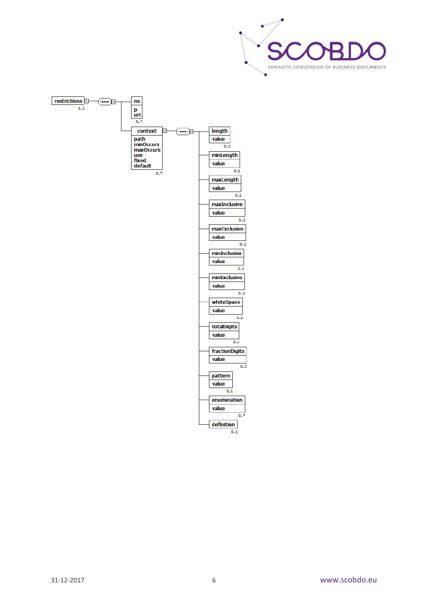

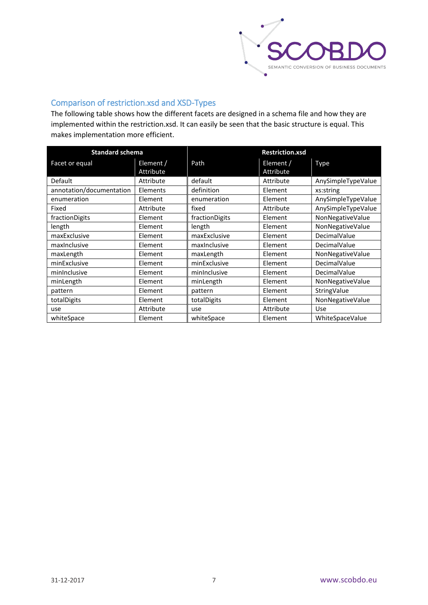

# <span id="page-7-0"></span>Comparison of restriction.xsd and XSD-Types

The following table shows how the different facets are designed in a schema file and how they are implemented within the restriction.xsd. It can easily be seen that the basic structure is equal. This makes implementation more efficient.

| <b>Standard schema</b>   |           |                | <b>Restriction.xsd</b> |                    |
|--------------------------|-----------|----------------|------------------------|--------------------|
| Facet or equal           | Element / | Path           | Element /              | Type               |
|                          | Attribute |                | Attribute              |                    |
| Default                  | Attribute | default        | Attribute              | AnySimpleTypeValue |
| annotation/documentation | Elements  | definition     | Element                | xs:string          |
| enumeration              | Element   | enumeration    | Element                | AnySimpleTypeValue |
| Fixed                    | Attribute | fixed          | Attribute              | AnySimpleTypeValue |
| fractionDigits           | Element   | fractionDigits | Element                | NonNegativeValue   |
| length                   | Element   | length         | Element                | NonNegativeValue   |
| maxExclusive             | Element   | maxExclusive   | Element                | DecimalValue       |
| maxInclusive             | Element   | maxinclusive   | Element                | DecimalValue       |
| maxLength                | Element   | maxLength      | Element                | NonNegativeValue   |
| minExclusive             | Element   | minExclusive   | Element                | DecimalValue       |
| minInclusive             | Element   | minInclusive   | Element                | DecimalValue       |
| minLength                | Element   | minLength      | Element                | NonNegativeValue   |
| pattern                  | Element   | pattern        | Element                | StringValue        |
| totalDigits              | Element   | totalDigits    | Element                | NonNegativeValue   |
| use                      | Attribute | use            | Attribute              | <b>Use</b>         |
| whiteSpace               | Element   | whiteSpace     | Element                | WhiteSpaceValue    |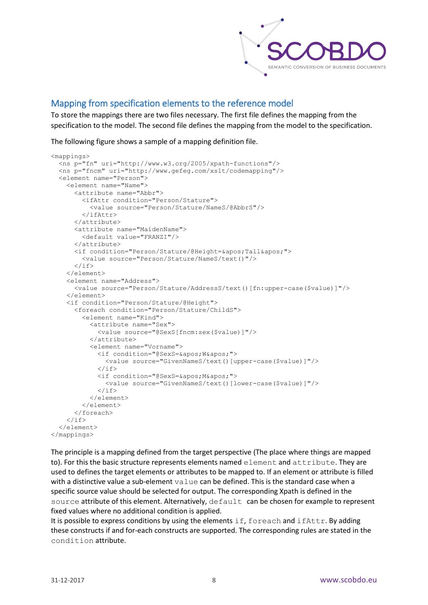

# <span id="page-8-0"></span>Mapping from specification elements to the reference model

To store the mappings there are two files necessary. The first file defines the mapping from the specification to the model. The second file defines the mapping from the model to the specification.

The following figure shows a sample of a mapping definition file.

```
<mappings>
  \frac{1}{x} \frac{1}{x} \frac{1}{x} \frac{1}{x} \frac{1}{x} \frac{1}{x} \frac{1}{x} \frac{1}{x} \frac{1}{x} \frac{1}{x} \frac{1}{x} \frac{1}{x} \frac{1}{x} \frac{1}{x} \frac{1}{x} \frac{1}{x} \frac{1}{x} \frac{1}{x} \frac{1}{x} \frac{1}{x} \frac{1}{x} \frac{1}{x}  <ns p="fncm" uri="http://www.gefeg.com/xslt/codemapping"/>
   <element name="Person">
      <element name="Name">
        <attribute name="Abbr">
           <ifAttr condition="Person/Stature">
             <value source="Person/Stature/NameS/@AbbrS"/>
          \langle/ifAttr>
        </attribute>
        <attribute name="MaidenName">
           <default value="FRANZI"/>
        </attribute>
       <if condition="Person/Stature/@Height=&apos;Tall&apos;">
          <value source="Person/Stature/NameS/text()"/>
       \langle/if>
     \langle/element>
      <element name="Address">
        <value source="Person/Stature/AddressS/text()[fn:upper-case($value)]"/>
      </element>
      <if condition="Person/Stature/@Height">
        <foreach condition="Person/Stature/ChildS">
           <element name="Kind">
              <attribute name="Sex">
                <value source="@SexS[fncm:sex($value)]"/>
             </attribute>
             <element name="Vorname">
               <if condition="@SexS=&apos; W&apos; ">
                  <value source="GivenNameS/text()[upper-case($value)]"/>
               \langle/if>
               <if condition="@SexS=&apos; M&apos; ">
                   <value source="GivenNameS/text()[lower-case($value)]"/>
               \langleif>
             </element>
           </element>
        </foreach>
     \langle/if>
   </element>
</mappings>
```
The principle is a mapping defined from the target perspective (The place where things are mapped to). For this the basic structure represents elements named element and attribute. They are used to defines the target elements or attributes to be mapped to. If an element or attribute is filled with a distinctive value a sub-element value can be defined. This is the standard case when a specific source value should be selected for output. The corresponding Xpath is defined in the source attribute of this element. Alternatively, default can be chosen for example to represent fixed values where no additional condition is applied.

It is possible to express conditions by using the elements if, foreach and ifAttr. By adding these constructs if and for-each constructs are supported. The corresponding rules are stated in the condition attribute.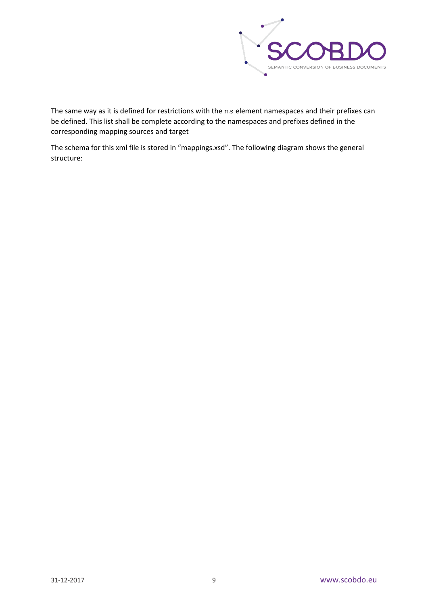

The same way as it is defined for restrictions with the ns element namespaces and their prefixes can be defined. This list shall be complete according to the namespaces and prefixes defined in the corresponding mapping sources and target

The schema for this xml file is stored in "mappings.xsd". The following diagram shows the general structure: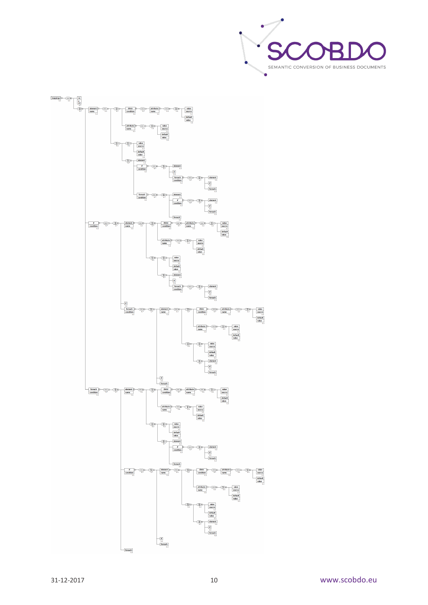

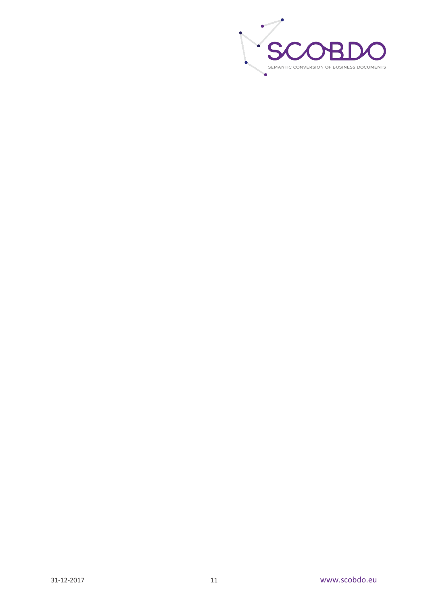